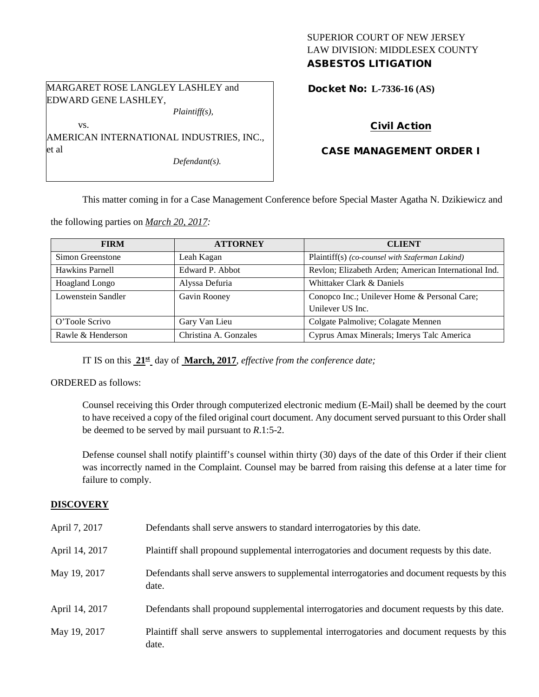## SUPERIOR COURT OF NEW JERSEY LAW DIVISION: MIDDLESEX COUNTY ASBESTOS LITIGATION

MARGARET ROSE LANGLEY LASHLEY and EDWARD GENE LASHLEY, *Plaintiff(s),*

AMERICAN INTERNATIONAL INDUSTRIES, INC.,

*Defendant(s).*

Docket No: **L-7336-16 (AS)** 

# Civil Action

# CASE MANAGEMENT ORDER I

This matter coming in for a Case Management Conference before Special Master Agatha N. Dzikiewicz and

the following parties on *March 20, 2017:*

| <b>FIRM</b>        | <b>ATTORNEY</b>       | <b>CLIENT</b>                                        |
|--------------------|-----------------------|------------------------------------------------------|
| Simon Greenstone   | Leah Kagan            | Plaintiff(s) (co-counsel with Szaferman Lakind)      |
| Hawkins Parnell    | Edward P. Abbot       | Revlon; Elizabeth Arden; American International Ind. |
| Hoagland Longo     | Alyssa Defuria        | Whittaker Clark & Daniels                            |
| Lowenstein Sandler | Gavin Rooney          | Conopco Inc.; Unilever Home & Personal Care;         |
|                    |                       | Unilever US Inc.                                     |
| O'Toole Scrivo     | Gary Van Lieu         | Colgate Palmolive; Colagate Mennen                   |
| Rawle & Henderson  | Christina A. Gonzales | Cyprus Amax Minerals; Imerys Talc America            |

IT IS on this **21st** day of **March, 2017**, *effective from the conference date;*

ORDERED as follows:

vs.

et al

Counsel receiving this Order through computerized electronic medium (E-Mail) shall be deemed by the court to have received a copy of the filed original court document. Any document served pursuant to this Order shall be deemed to be served by mail pursuant to *R*.1:5-2.

Defense counsel shall notify plaintiff's counsel within thirty (30) days of the date of this Order if their client was incorrectly named in the Complaint. Counsel may be barred from raising this defense at a later time for failure to comply.

## **DISCOVERY**

| April 7, 2017  | Defendants shall serve answers to standard interrogatories by this date.                              |
|----------------|-------------------------------------------------------------------------------------------------------|
| April 14, 2017 | Plaintiff shall propound supplemental interrogatories and document requests by this date.             |
| May 19, 2017   | Defendants shall serve answers to supplemental interrogatories and document requests by this<br>date. |
| April 14, 2017 | Defendants shall propound supplemental interrogatories and document requests by this date.            |
| May 19, 2017   | Plaintiff shall serve answers to supplemental interrogatories and document requests by this<br>date.  |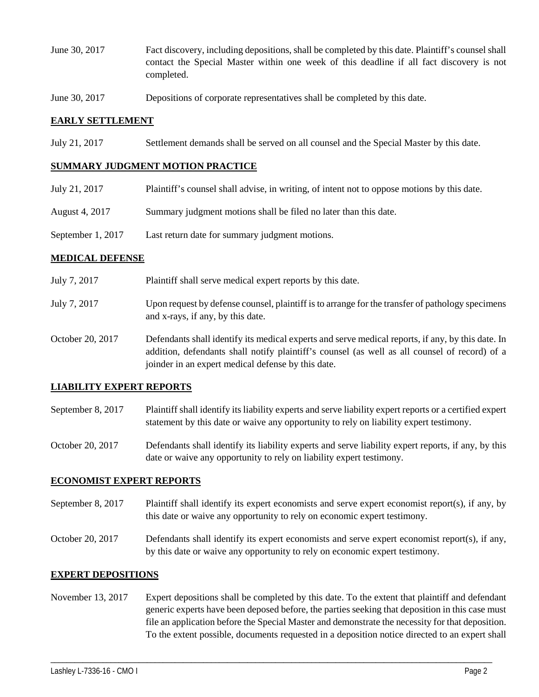- June 30, 2017 Fact discovery, including depositions, shall be completed by this date. Plaintiff's counsel shall contact the Special Master within one week of this deadline if all fact discovery is not completed.
- June 30, 2017 Depositions of corporate representatives shall be completed by this date.

### **EARLY SETTLEMENT**

July 21, 2017 Settlement demands shall be served on all counsel and the Special Master by this date.

#### **SUMMARY JUDGMENT MOTION PRACTICE**

- July 21, 2017 Plaintiff's counsel shall advise, in writing, of intent not to oppose motions by this date.
- August 4, 2017 Summary judgment motions shall be filed no later than this date.
- September 1, 2017 Last return date for summary judgment motions.

### **MEDICAL DEFENSE**

- July 7, 2017 Plaintiff shall serve medical expert reports by this date.
- July 7, 2017 Upon request by defense counsel, plaintiff is to arrange for the transfer of pathology specimens and x-rays, if any, by this date.
- October 20, 2017 Defendants shall identify its medical experts and serve medical reports, if any, by this date. In addition, defendants shall notify plaintiff's counsel (as well as all counsel of record) of a joinder in an expert medical defense by this date.

## **LIABILITY EXPERT REPORTS**

September 8, 2017 Plaintiff shall identify its liability experts and serve liability expert reports or a certified expert statement by this date or waive any opportunity to rely on liability expert testimony.

October 20, 2017 Defendants shall identify its liability experts and serve liability expert reports, if any, by this date or waive any opportunity to rely on liability expert testimony.

#### **ECONOMIST EXPERT REPORTS**

- September 8, 2017 Plaintiff shall identify its expert economists and serve expert economist report(s), if any, by this date or waive any opportunity to rely on economic expert testimony.
- October 20, 2017 Defendants shall identify its expert economists and serve expert economist report(s), if any, by this date or waive any opportunity to rely on economic expert testimony.

#### **EXPERT DEPOSITIONS**

November 13, 2017 Expert depositions shall be completed by this date. To the extent that plaintiff and defendant generic experts have been deposed before, the parties seeking that deposition in this case must file an application before the Special Master and demonstrate the necessity for that deposition. To the extent possible, documents requested in a deposition notice directed to an expert shall

\_\_\_\_\_\_\_\_\_\_\_\_\_\_\_\_\_\_\_\_\_\_\_\_\_\_\_\_\_\_\_\_\_\_\_\_\_\_\_\_\_\_\_\_\_\_\_\_\_\_\_\_\_\_\_\_\_\_\_\_\_\_\_\_\_\_\_\_\_\_\_\_\_\_\_\_\_\_\_\_\_\_\_\_\_\_\_\_\_\_\_\_\_\_\_\_\_\_\_\_\_\_\_\_\_\_\_\_\_\_